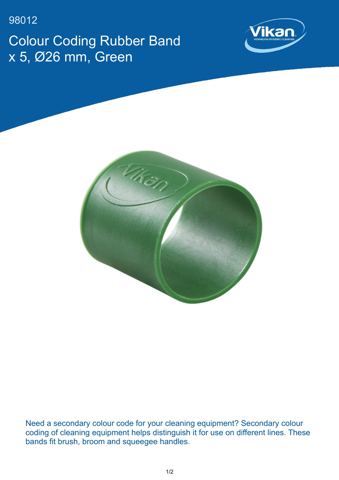98012 Colour Coding Rubber Band x 5, Ø26 mm, Green





Need a secondary colour code for your cleaning equipment? Secondary colour coding of cleaning equipment helps distinguish it for use on different lines. These bands fit brush, broom and squeegee handles.